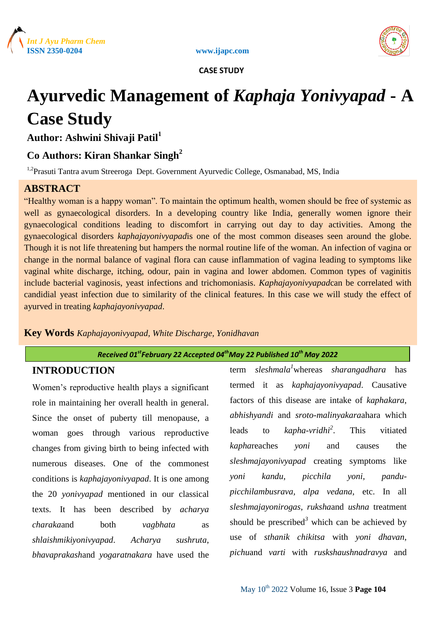





# **Ayurvedic Management of** *Kaphaja Yonivyapad* **- A Case Study**

**Author: Ashwini Shivaji Patil<sup>1</sup>**

# **Co Authors: Kiran Shankar Singh<sup>2</sup>**

<sup>1,2</sup> Prasuti Tantra avum Streeroga Dept. Government Ayurvedic College, Osmanabad, MS, India

# **ABSTRACT**

"Healthy woman is a happy woman". To maintain the optimum health, women should be free of systemic as well as gynaecological disorders. In a developing country like India, generally women ignore their gynaecological conditions leading to discomfort in carrying out day to day activities. Among the gynaecological disorders *kaphajayonivyapad*is one of the most common diseases seen around the globe. Though it is not life threatening but hampers the normal routine life of the woman. An infection of vagina or change in the normal balance of vaginal flora can cause inflammation of vagina leading to symptoms like vaginal white discharge, itching, odour, pain in vagina and lower abdomen. Common types of vaginitis include bacterial vaginosis, yeast infections and trichomoniasis. *Kaphajayonivyapad*can be correlated with candidial yeast infection due to similarity of the clinical features. In this case we will study the effect of ayurved in treating *kaphajayonivyapad*.

**Key Words** *Kaphajayonivyapad, White Discharge, Yonidhavan*

*Received 01stFebruary 22 Accepted 04thMay 22 Published 10th May 2022*

# **INTRODUCTION**

Women's reproductive health plays a significant role in maintaining her overall health in general. Since the onset of puberty till menopause, a woman goes through various reproductive changes from giving birth to being infected with numerous diseases. One of the commonest conditions is *kaphajayonivyapad*. It is one among the 20 *yonivyapad* mentioned in our classical texts. It has been described by *acharya charaka*and both *vagbhata* as *shlaishmikiyonivyapad*. *Acharya sushruta*, *bhavaprakash*and *yogaratnakara* have used the

term *sleshmala<sup>1</sup>*whereas *sharangadhara* has termed it as *kaphajayonivyapad*. Causative factors of this disease are intake of *kaphakara*, *abhishyandi* and *sroto*-*malinyakara*ahara which leads to *kapha*-*vridhi<sup>2</sup>* This vitiated *kaphareaches yoni* and causes the *sleshmajayonivyapad* creating symptoms like *yoni kandu*, *picchila yoni, pandupicchilambusrava, alpa vedana*, etc. In all *sleshmajayonirogas*, *ruksha*and *ushna* treatment should be prescribed<sup>3</sup> which can be achieved by use of *sthanik chikitsa* with *yoni dhavan*, *pichu*and *varti* with *ruskshaushnadravya* and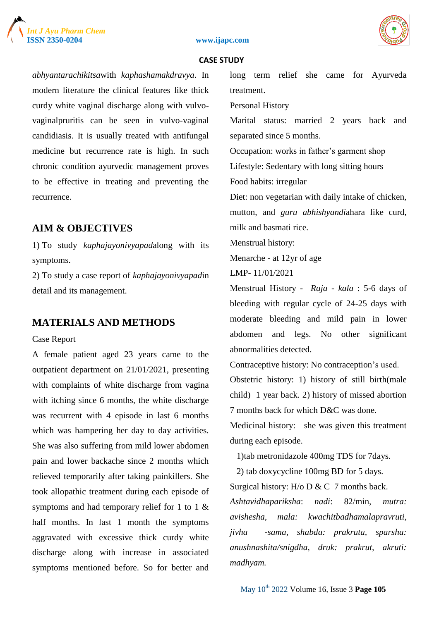





*abhyantarachikitsa*with *kaphashamakdravya*. In modern literature the clinical features like thick curdy white vaginal discharge along with vulvovaginalpruritis can be seen in vulvo-vaginal candidiasis. It is usually treated with antifungal medicine but recurrence rate is high. In such chronic condition ayurvedic management proves to be effective in treating and preventing the recurrence.

## **AIM & OBJECTIVES**

1) To study *kaphajayonivyapad*along with its symptoms.

2) To study a case report of *kaphajayonivyapad*in detail and its management.

# **MATERIALS AND METHODS**

Case Report

A female patient aged 23 years came to the outpatient department on 21/01/2021, presenting with complaints of white discharge from vagina with itching since 6 months, the white discharge was recurrent with 4 episode in last 6 months which was hampering her day to day activities. She was also suffering from mild lower abdomen pain and lower backache since 2 months which relieved temporarily after taking painkillers. She took allopathic treatment during each episode of symptoms and had temporary relief for 1 to 1 & half months. In last 1 month the symptoms aggravated with excessive thick curdy white discharge along with increase in associated symptoms mentioned before. So for better and

long term relief she came for Ayurveda treatment.

Personal History

Marital status: married 2 years back and separated since 5 months.

Occupation: works in father's garment shop Lifestyle: Sedentary with long sitting hours Food habits: irregular

Diet: non vegetarian with daily intake of chicken, mutton, and *guru abhishyandi*ahara like curd, milk and basmati rice.

Menstrual history:

Menarche - at 12yr of age

LMP- 11/01/2021

Menstrual History - *Raja* - *kala* : 5-6 days of bleeding with regular cycle of 24-25 days with moderate bleeding and mild pain in lower abdomen and legs. No other significant abnormalities detected.

Contraceptive history: No contraception's used. Obstetric history: 1) history of still birth(male child) 1 year back. 2) history of missed abortion 7 months back for which D&C was done.

Medicinal history: she was given this treatment during each episode.

1)tab metronidazole 400mg TDS for 7days.

 2) tab doxycycline 100mg BD for 5 days. Surgical history: H/o D & C 7 months back.

*Ashtavidhapariksha*: *nadi*: 82/min, *mutra: avishesha, mala: kwachitbadhamalapravruti, jivha -sama, shabda: prakruta, sparsha: anushnashita/snigdha, druk: prakrut, akruti: madhyam.*

May 10th 2022 Volume 16, Issue 3 **Page 105**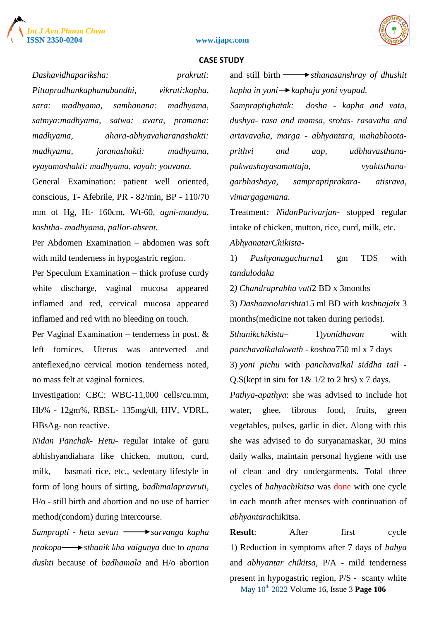





*Dashavidhapariksha: prakruti:* 

*Pittapradhankaphanubandhi, vikruti:kapha, sara: madhyama, samhanana: madhyama, satmya:madhyama, satwa: avara, pramana: madhyama, ahara-abhyavaharanashakti: madhyama, jaranashakti: madhyama, vyayamashakti: madhyama, vayah: youvana.*

General Examination: patient well oriented, conscious, T- Afebrile, PR - 82/min, BP - 110/70 mm of Hg, Ht- 160cm, Wt-60, *agni-mandya, koshtha- madhyama, pallor-absent.*

Per Abdomen Examination – abdomen was soft with mild tenderness in hypogastric region.

Per Speculum Examination – thick profuse curdy white discharge, vaginal mucosa appeared inflamed and red, cervical mucosa appeared inflamed and red with no bleeding on touch.

Per Vaginal Examination – tenderness in post. & left fornices, Uterus was anteverted and anteflexed,no cervical motion tenderness noted, no mass felt at vaginal fornices.

Investigation: CBC: WBC-11,000 cells/cu.mm, Hb% - 12gm%, RBSL- 135mg/dl, HIV, VDRL, HBsAg- non reactive.

*Nidan Panchak- Hetu*- regular intake of guru abhishyandiahara like chicken, mutton, curd, milk, basmati rice, etc., sedentary lifestyle in form of long hours of sitting, *badhmalapravruti*, H/o - still birth and abortion and no use of barrier method(condom) during intercourse.

*Samprapti - hetu sevan*  $\longrightarrow$  *sarvanga kapha prakopa sthanik kha vaigunya* due to *apana dushti* because of *badhamala* and H/o abortion and still birth  $\longrightarrow$  *sthanasanshray of dhushit kapha in yoni kaphaja yoni vyapad.*

*Sampraptighatak: dosha - kapha and vata, dushya- rasa and mamsa, srotas- rasavaha and artavavaha, marga - abhyantara, mahabhootaprithvi and aap, udbhavasthanapakwashayasamuttaja, vyaktsthanagarbhashaya, sampraptiprakara- atisrava, vimargagamana.*

Treatment*: NidanParivarjan*- stopped regular intake of chicken, mutton, rice, curd, milk, etc. *AbhyanatarChikista*-

1) *Pushyanugachurna*1 gm TDS with *tandulodaka*

2*) Chandraprabha vati*2 BD x 3months

3) *Dashamoolarishta*15 ml BD with *koshnajal*x 3 months(medicine not taken during periods).

*Sthanikchikista*– 1)*yonidhavan* with *panchavalkalakwath - koshna*750 ml x 7 days 3) *yoni pichu* with *panchavalkal siddha tail* - Q.S(kept in situ for  $1\& 1/2$  to 2 hrs) x 7 days.

*Pathya-apathya*: she was advised to include hot water, ghee, fibrous food, fruits, green vegetables, pulses, garlic in diet. Along with this she was advised to do suryanamaskar, 30 mins daily walks, maintain personal hygiene with use of clean and dry undergarments. Total three cycles of *bahyachikitsa* was done with one cycle in each month after menses with continuation of *abhyantara*chikitsa.

May 10th 2022 Volume 16, Issue 3 **Page 106 Result**: After first cycle 1) Reduction in symptoms after 7 days of *bahya* and *abhyantar chikitsa*, P/A - mild tenderness present in hypogastric region, P/S - scanty white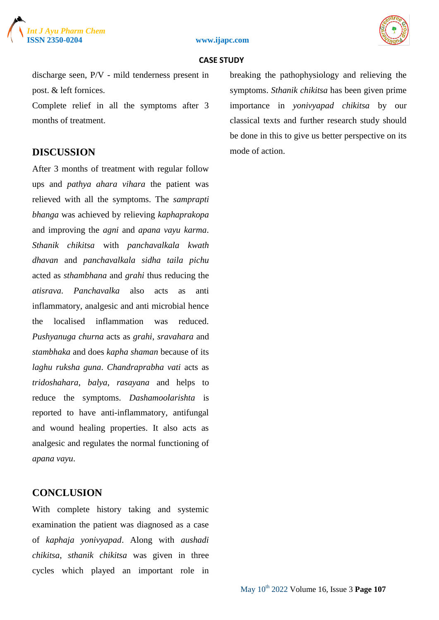





discharge seen, P/V - mild tenderness present in post. & left fornices.

Complete relief in all the symptoms after 3 months of treatment.

## **DISCUSSION**

After 3 months of treatment with regular follow ups and *pathya ahara vihara* the patient was relieved with all the symptoms. The *samprapti bhanga* was achieved by relieving *kaphaprakopa*  and improving the *agni* and *apana vayu karma*. *Sthanik chikitsa* with *panchavalkala kwath dhavan* and *panchavalkala sidha taila pichu*  acted as *sthambhana* and *grahi* thus reducing the *atisrava*. *Panchavalka* also acts as anti inflammatory, analgesic and anti microbial hence the localised inflammation was reduced. *Pushyanuga churna* acts as *grahi*, *sravahara* and *stambhaka* and does *kapha shaman* because of its *laghu ruksha guna*. *Chandraprabha vati* acts as *tridoshahara*, *balya*, *rasayana* and helps to reduce the symptoms. *Dashamoolarishta* is reported to have anti-inflammatory, antifungal and wound healing properties. It also acts as analgesic and regulates the normal functioning of *apana vayu*.

## **CONCLUSION**

With complete history taking and systemic examination the patient was diagnosed as a case of *kaphaja yonivyapad*. Along with *aushadi chikitsa*, *sthanik chikitsa* was given in three cycles which played an important role in breaking the pathophysiology and relieving the symptoms. *Sthanik chikitsa* has been given prime importance in *yonivyapad chikitsa* by our classical texts and further research study should be done in this to give us better perspective on its mode of action.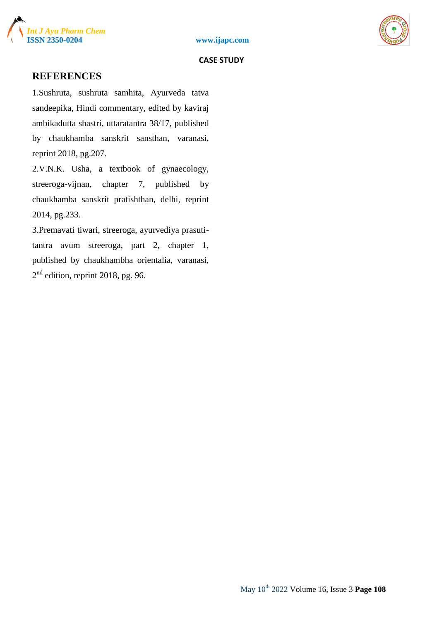



## **REFERENCES**

1.Sushruta, sushruta samhita, Ayurveda tatva sandeepika, Hindi commentary, edited by kaviraj ambikadutta shastri, uttaratantra 38/17, published by chaukhamba sanskrit sansthan, varanasi, reprint 2018, pg.207.

2.V.N.K. Usha, a textbook of gynaecology, streeroga-vijnan, chapter 7, published by chaukhamba sanskrit pratishthan, delhi, reprint 2014, pg.233.

3.Premavati tiwari, streeroga, ayurvediya prasutitantra avum streeroga, part 2, chapter 1, published by chaukhambha orientalia, varanasi,  $2<sup>nd</sup>$  edition, reprint 2018, pg. 96.